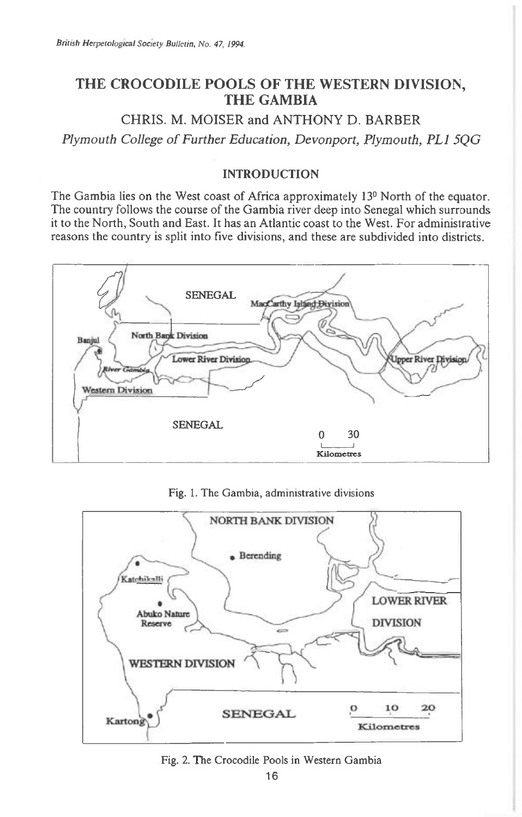# **THE CROCODILE POOLS OF THE WESTERN DIVISION, THE GAMBIA**

CHRIS. M. MOISER and ANTHONY D. BARBER

*Plymouth College of Further Education, Devonport, Plymouth, PL1 5QG* 

## INTRODUCTION

The Gambia lies on the West coast of Africa approximately 13° North of the equator. The country follows the course of the Gambia river deep into Senegal which surrounds it to the North, South and East. It has an Atlantic coast to the West. For administrative reasons the country is split into five divisions, and these are subdivided into districts.



Fig. 1. The Gambia, administrative divisions



#### Fig. 2. The Crocodile Pools in Western Gambia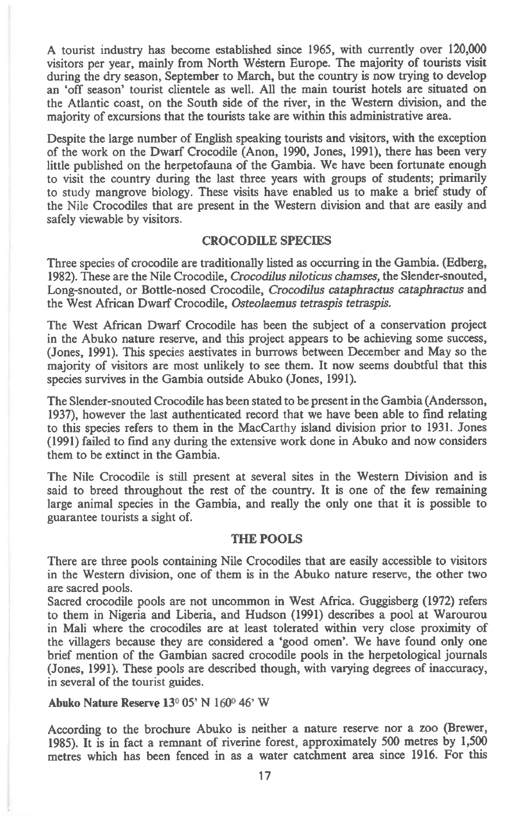A tourist industry has become established since 1965, with currently over 120,000 visitors per year, mainly from North Western Europe. The majority of tourists visit during the dry season, September to March, but the country is now trying to develop an 'off season' tourist clientele as well. All the main tourist hotels are situated on the Atlantic coast, on the South side of the river, in the Western division, and the majority of excursions that the tourists take are within this administrative area.

Despite the large number of English speaking tourists and visitors, with the exception of the work on the Dwarf Crocodile (Anon, 1990, Jones, 1991), there has been very little published on the herpetofauna of the Gambia. We have been fortunate enough to visit the country during the last three years with groups of students; primarily to study mangrove biology. These visits have enabled us to make a brief study of the Nile Crocodiles that are present in the Western division and that are easily and safely viewable by visitors.

### CROCODILE SPECIES

Three species of crocodile are traditionally listed as occurring in the Gambia. (Edberg, 1982). These are the Nile Crocodile, *Crocodilus niloticus chamses,* the Slender-snouted, Long-snouted, or Bottle-nosed Crocodile, *Crocodilus cataphractus cataphractus* and the West African Dwarf Crocodile, *Osteolaemus tetraspis tetraspis.* 

The West African Dwarf Crocodile has been the subject of a conservation project in the Abuko nature reserve, and this project appears to be achieving some success, (Jones, 1991). This species aestivates in burrows between December and May so the majority of visitors are most unlikely to see them. It now seems doubtful that this species survives in the Gambia outside Abuko (Jones, 1991).

The Slender-snouted Crocodile has been stated to be present in the Gambia (Andersson, 1937), however the last authenticated record that we have been able to fmd relating to this species refers to them in the MacCarthy island division prior to 1931. Jones (1991) failed to find any during the extensive work done in Abuko and now considers them to be extinct in the Gambia.

The Nile Crocodile is still present at several sites in the Western Division and is said to breed throughout the rest of the country. It is one of the few remaining large animal species in the Gambia, and really the only one that it is possible to guarantee tourists a sight of.

### THE POOLS

There are three pools containing Nile Crocodiles that are easily accessible to visitors in the Western division, one of them is in the Abuko nature reserve, the other two are sacred pools.

Sacred crocodile pools are not uncommon in West Africa. Guggisberg (1972) refers to them in Nigeria and Liberia, and Hudson (1991) describes a pool at Warourou in Mali where the crocodiles are at least tolerated within very close proximity of the villagers because they are considered a 'good omen'. We have found only one brief mention of the Gambian sacred crocodile pools in the herpetological journals (Jones, 1991). These pools are described though, with varying degrees of inaccuracy, in several of the tourist guides.

Abuko Nature Reserve 13<sup>0</sup> 05' N 160<sup>0</sup> 46' W

According to the brochure Abuko is neither a nature reserve nor a zoo (Brewer, 1985). It is in fact a remnant of riverine forest, approximately 500 metres by 1,500 metres which has been fenced in as a water catchment area since 1916. For this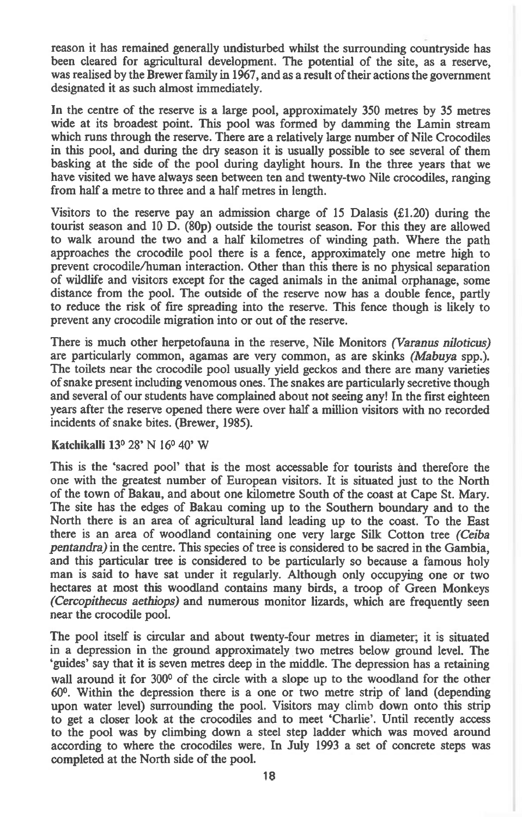reason it has remained generally undisturbed whilst the surrounding countryside has been cleared for agricultural development. The potential of the site, as a reserve, was realised by the Brewer family in 1967, and as a result of their actions the government designated it as such almost immediately.

In the centre of the reserve is a large pool, approximately 350 metres by 35 metres wide at its broadest point. This pool was formed by damming the Lamin stream which runs through the reserve. There are a relatively large number of Nile Crocodiles in this pool, and during the dry season it is usually possible to see several of them basking at the side of the pool during daylight hours. In the three years that we have visited we have always seen between ten and twenty-two Nile crocodiles, ranging from half a metre to three and a half metres in length.

Visitors to the reserve pay an admission charge of 15 Dalasis  $(f1.20)$  during the tourist season and 10 D. (80p) outside the tourist season. For this they are allowed to walk around the two and a half kilometres of winding path. Where the path approaches the crocodile pool there is a fence, approximately one metre high to prevent crocodile/human interaction. Other than this there is no physical separation of wildlife and visitors except for the caged animals in the animal orphanage, some distance from the pool. The outside of the reserve now has a double fence, partly to reduce the risk of fire spreading into the reserve. This fence though is likely to prevent any crocodile migration into or out of the reserve.

There is much other herpetofauna in the reserve, Nile Monitors *(Varanus niloticus)*  are particularly common, agamas are very common, as are skinks *(Mabuya* spp.). The toilets near the crocodile pool usually yield geckos and there are many varieties of snake present including venomous ones. The snakes are particularly secretive though and several of our students have complained about not seeing any! In the first eighteen years after the reserve opened there were over half a million visitors with no recorded incidents of snake bites. (Brewer, 1985).

## **Katchikalli 13°** 28' N 16° 40' W

This is the 'sacred pool' that is the most accessable for tourists and therefore the one with the greatest number of European visitors. It is situated just to the North of the town of Bakau, and about one kilometre South of the coast at Cape St. Mary. The site has the edges of Bakau coming up to the Southern boundary and to the North there is an area of agricultural land leading up to the coast. To the East there is an area of woodland containing one very large Silk Cotton tree *(Ceiba pentandra)* in the centre. This species of tree is considered to be sacred in the Gambia, and this particular tree is considered to be particularly so because a famous holy man is said to have sat under it regularly. Although only occupying one or two hectares at most this woodland contains many birds, a troop of Green Monkeys *(Cercopithecus aethiops)* and numerous monitor lizards, which are frequently seen near the crocodile pool.

The pool itself is circular and about twenty-four metres in diameter; it is situated in a depression in the ground approximately two metres below ground level. The `guides' say that it is seven metres deep in the middle. The depression has a retaining wall around it for 300° of the circle with a slope up to the woodland for the other 600. Within the depression there is a one or two metre strip of land (depending upon water level) surrounding the pool. Visitors may climb down onto this strip to get a closer look at the crocodiles and to meet 'Charlie'. Until recently access to the pool was by climbing down a steel step ladder which was moved around according to where the crocodiles were. In July 1993 a set of concrete steps was completed at the North side of the pool.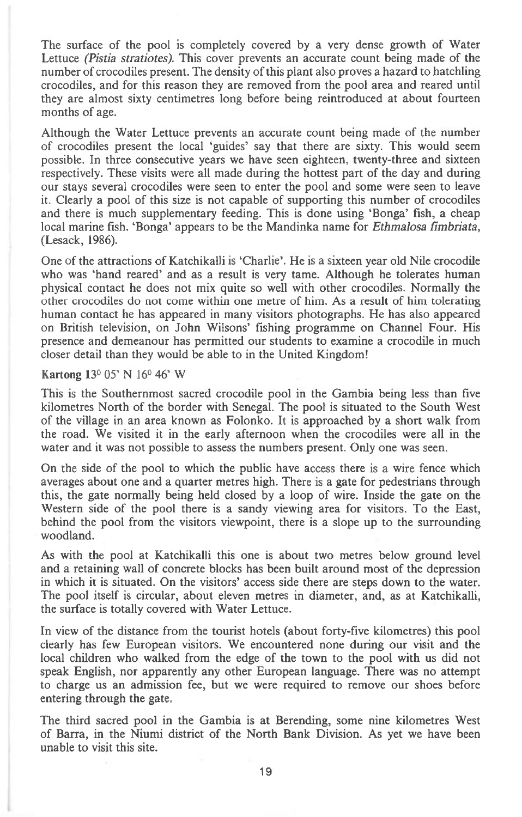The surface of the pool is completely covered by a very dense growth of Water Lettuce *(Pistia stratiotes).* This cover prevents an accurate count being made of the number of crocodiles present. The density of this plant also proves a hazard to hatchling crocodiles, and for this reason they are removed from the pool area and reared until they are almost sixty centimetres long before being reintroduced at about fourteen months of age.

Although the Water Lettuce prevents an accurate count being made of the number of crocodiles present the local 'guides' say that there are sixty. This would seem possible. In three consecutive years we have seen eighteen, twenty-three and sixteen respectively. These visits were all made during the hottest part of the day and during our stays several crocodiles were seen to enter the pool and some were seen to leave it. Clearly a pool of this size is not capable of supporting this number of crocodiles and there is much supplementary feeding. This is done using 'Bonga' fish, a cheap local marine fish. 'Bonga' appears to be the Mandinka name for *Ethmalosa fimbriata*, (Lesack, 1986).

One of the attractions of Katchikalli is 'Charlie'. He is a sixteen year old Nile crocodile who was 'hand reared' and as a result is very tame. Although he tolerates human physical contact he does not mix quite so well with other crocodiles. Normally the other crocodiles do not come within one metre of him. As a result of him tolerating human contact he has appeared in many visitors photographs. He has also appeared on British television, on John Wilsons' fishing programme on Channel Four. His presence and demeanour has permitted our students to examine a crocodile in much closer detail than they would be able to in the United Kingdom!

## **Kartong 13°** 05' N 16° 46' W

This is the Southernmost sacred crocodile pool in the Gambia being less than five kilometres North of the border with Senegal. The pool is situated to the South West of the village in an area known as Folonko. It is approached by a short walk from the road. We visited it in the early afternoon when the crocodiles were all in the water and it was not possible to assess the numbers present. Only one was seen.

On the side of the pool to which the public have access there is a wire fence which averages about one and a quarter metres high. There is a gate for pedestrians through this, the gate normally being held closed by a loop of wire. Inside the gate on the Western side of the pool there is a sandy viewing area for visitors. To the East, behind the pool from the visitors viewpoint, there is a slope up to the surrounding woodland.

As with the pool at Katchikalli this one is about two metres below ground level and a retaining wall of concrete blocks has been built around most of the depression in which it is situated. On the visitors' access side there are steps down to the water. The pool itself is circular, about eleven metres in diameter, and, as at Katchikalli, the surface is totally covered with Water Lettuce.

In view of the distance from the tourist hotels (about forty-five kilometres) this pool clearly has few European visitors. We encountered none during our visit and the local children who walked from the edge of the town to the pool with us did not speak English, nor apparently any other European language. There was no attempt to charge us an admission fee, but we were required to remove our shoes before entering through the gate.

The third sacred pool in the Gambia is at Berending, some nine kilometres West of Barra, in the Niumi district of the North Bank Division. As yet we have been unable to visit this site.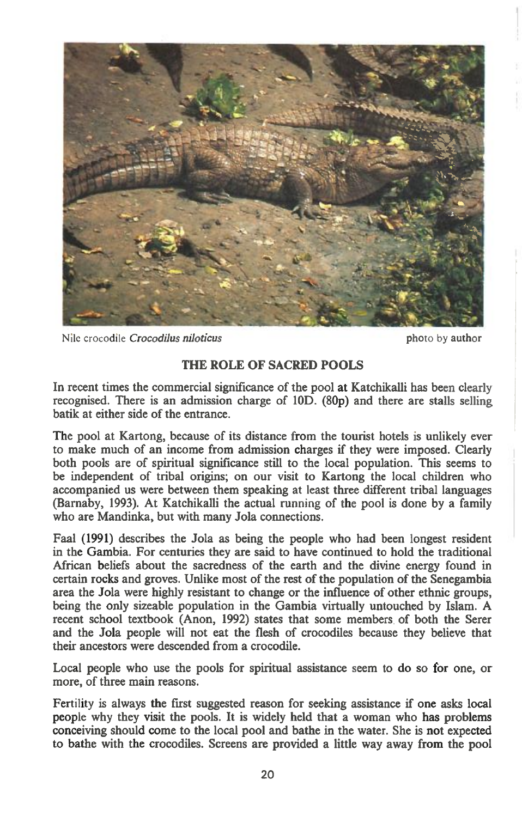

Nile crocodile *Crocodilus niloticus* photo by author

## **THE ROLE OF SACRED POOLS**

In recent times the commercial significance of the pool at Katchikalli has been clearly recognised. There is an admission charge of 10D. (80p) and there are stalls selling batik at either side of the entrance.

The pool at Kartong, because of its distance from the tourist hotels is unlikely ever to make much of an income from admission charges if they were imposed. Clearly both pools are of spiritual significance still to the local population. This seems to be independent of tribal origins; on our visit to Kartong the local children who accompanied us were between them speaking at least three different tribal languages (Barnaby, 1993). At Katchikalli the actual running of the pool is done by a family who are Mandinka, but with many Jola connections.

Faal (1991) describes the Jola as being the people who had been longest resident in the Gambia. For centuries they are said to have continued to hold the traditional African beliefs about the sacredness of the earth and the divine energy found in certain rocks and groves. Unlike most of the rest of the population of the Senegambia area the Jola were highly resistant to change or the influence of other ethnic groups, being the only sizeable population in the Gambia virtually untouched by Islam. A recent school textbook (Anon, 1992) states that some members of both the Serer and the Jola people will not eat the flesh of crocodiles because they believe that their ancestors were descended from a crocodile.

Local people who use the pools for spiritual assistance seem to do so for one, or more, of three main reasons.

Fertility is always the first suggested reason for seeking assistance if one asks local people why they visit the pools. It is widely held that a woman who has problems conceiving should come to the local pool and bathe in the water. She is not expected to bathe with the crocodiles. Screens are provided a little way away from the pool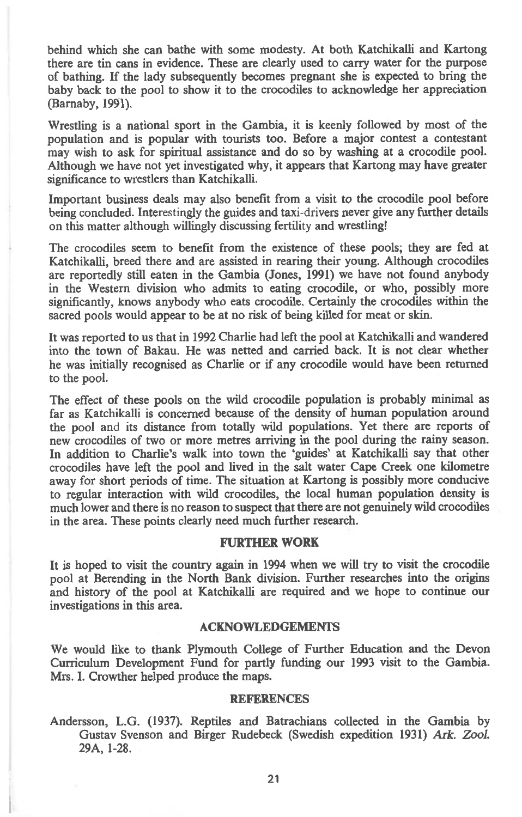behind which she can bathe with some modesty. At both Katchikalli and Kartong there are tin cans in evidence. These are clearly used to carry water for the purpose of bathing. If the lady subsequently becomes pregnant she is expected to bring the baby back to the pool to show it to the crocodiles to acknowledge her appreciation (Barnaby, **1991).** 

Wrestling is a national sport in the Gambia, it is keenly followed by most of the population and is popular with tourists too. Before a major contest a contestant may wish to ask for spiritual assistance and do so by washing at a crocodile pool. Although we have not yet investigated why, it appears that Kartong may have greater significance to wrestlers **than** Katchikalli.

Important business deals may also benefit from a visit to the crocodile pool before being concluded. Interestingly the guides and taxi-drivers never give any further details on this matter although willingly discussing fertility and wrestling!

The crocodiles seem to benefit from the existence of these pools; they are fed at Katchikalli, breed there and are assisted in rearing their young. **Although** crocodiles are reportedly still eaten in the Gambia (Jones, **1991)** we have not found anybody in the Western division who admits to eating crocodile, or who, possibly more significantly, knows anybody who eats crocodile. Certainly the crocodiles within the sacred pools would appear to be at no risk of being killed for meat or skin.

It was reported to us that in 1992 Charlie had left the pool at Katchikalli and wandered into the town of Bakau. He was netted and carried back. It is not clear whether he was initially recognised as Charlie or if any crocodile would have been returned to the pool.

**The effect of these pools on the wild crocodile population is probably minimal as far** as Katchikalli is concerned because of the density of human population around the pool and its distance from totally wild populations. Yet there are reports of new crocodiles of two or more metres arriving in the pool during the rainy season. In addition to Charlie's walk into town the 'guides' at Katchikalli say that other crocodiles have left **the pool and lived in the salt water Cape Creek one kilometre away for short periods of time. The situation at Kartong is possibly more conducive to regular interaction with wild crocodiles, the local human population density is**  much lower and there is no reason to suspect that there are not genuinely wild crocodiles in the area. These points clearly need much further research.

## **FURTHER WORK**

**It is hoped to visit the country again in 1994 when we** will try to visit the crocodile pool at Berending in the North Bank division. Further researches into the origins and history of the pool at Katchikalli are required and we hope to continue our investigations in this area.

#### **ACKNOWLEDGEMENTS**

**We would like to thank Plymouth College of Further Education and the Devon Curriculum Development Fund for partly funding our 1993 visit to the Gambia. Mrs. I. Crowther helped produce the maps.** 

#### **REFERENCES**

**Andersson, L.G. (1937). Reptiles and Batrachians collected in the Gambia by Gustav Svenson and Birger Rudebeck (Swedish expedition 1931)** *Ark. Zool.*  29A, 1-28.